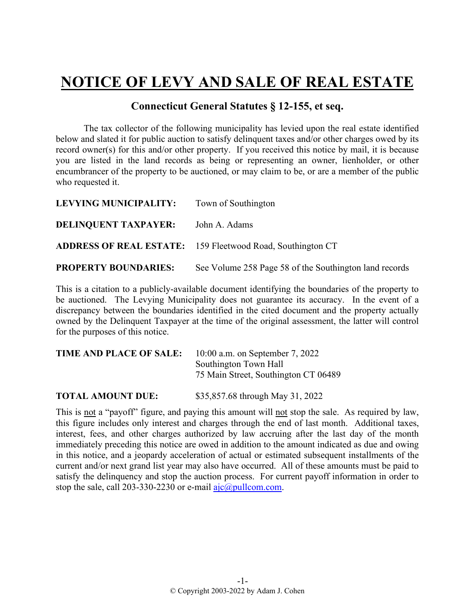## **NOTICE OF LEVY AND SALE OF REAL ESTATE**

## **Connecticut General Statutes § 12-155, et seq.**

The tax collector of the following municipality has levied upon the real estate identified below and slated it for public auction to satisfy delinquent taxes and/or other charges owed by its record owner(s) for this and/or other property. If you received this notice by mail, it is because you are listed in the land records as being or representing an owner, lienholder, or other encumbrancer of the property to be auctioned, or may claim to be, or are a member of the public who requested it.

| <b>LEVYING MUNICIPALITY:</b> Town of Southington |                                                                   |
|--------------------------------------------------|-------------------------------------------------------------------|
| <b>DELINQUENT TAXPAYER:</b>                      | John A. Adams                                                     |
|                                                  | <b>ADDRESS OF REAL ESTATE:</b> 159 Fleetwood Road, Southington CT |
| <b>PROPERTY BOUNDARIES:</b>                      | See Volume 258 Page 58 of the Southington land records            |

This is a citation to a publicly-available document identifying the boundaries of the property to be auctioned. The Levying Municipality does not guarantee its accuracy. In the event of a discrepancy between the boundaries identified in the cited document and the property actually owned by the Delinquent Taxpayer at the time of the original assessment, the latter will control for the purposes of this notice.

| TIME AND PLACE OF SALE: | 10:00 a.m. on September 7, 2022      |
|-------------------------|--------------------------------------|
|                         | Southington Town Hall                |
|                         | 75 Main Street, Southington CT 06489 |
|                         |                                      |

**TOTAL AMOUNT DUE:** \$35,857.68 through May 31, 2022

This is not a "payoff" figure, and paying this amount will not stop the sale. As required by law, this figure includes only interest and charges through the end of last month. Additional taxes, interest, fees, and other charges authorized by law accruing after the last day of the month immediately preceding this notice are owed in addition to the amount indicated as due and owing in this notice, and a jeopardy acceleration of actual or estimated subsequent installments of the current and/or next grand list year may also have occurred. All of these amounts must be paid to satisfy the delinquency and stop the auction process. For current payoff information in order to stop the sale, call 203-330-2230 or e-mail  $a$ jc $@p$ ullcom.com.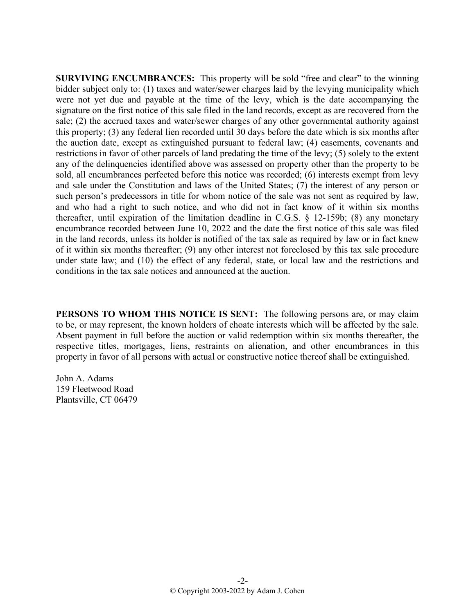**SURVIVING ENCUMBRANCES:** This property will be sold "free and clear" to the winning bidder subject only to: (1) taxes and water/sewer charges laid by the levying municipality which were not yet due and payable at the time of the levy, which is the date accompanying the signature on the first notice of this sale filed in the land records, except as are recovered from the sale; (2) the accrued taxes and water/sewer charges of any other governmental authority against this property; (3) any federal lien recorded until 30 days before the date which is six months after the auction date, except as extinguished pursuant to federal law; (4) easements, covenants and restrictions in favor of other parcels of land predating the time of the levy; (5) solely to the extent any of the delinquencies identified above was assessed on property other than the property to be sold, all encumbrances perfected before this notice was recorded; (6) interests exempt from levy and sale under the Constitution and laws of the United States; (7) the interest of any person or such person's predecessors in title for whom notice of the sale was not sent as required by law, and who had a right to such notice, and who did not in fact know of it within six months thereafter, until expiration of the limitation deadline in C.G.S. § 12-159b; (8) any monetary encumbrance recorded between June 10, 2022 and the date the first notice of this sale was filed in the land records, unless its holder is notified of the tax sale as required by law or in fact knew of it within six months thereafter; (9) any other interest not foreclosed by this tax sale procedure under state law; and (10) the effect of any federal, state, or local law and the restrictions and conditions in the tax sale notices and announced at the auction.

**PERSONS TO WHOM THIS NOTICE IS SENT:** The following persons are, or may claim to be, or may represent, the known holders of choate interests which will be affected by the sale. Absent payment in full before the auction or valid redemption within six months thereafter, the respective titles, mortgages, liens, restraints on alienation, and other encumbrances in this property in favor of all persons with actual or constructive notice thereof shall be extinguished.

John A. Adams 159 Fleetwood Road Plantsville, CT 06479